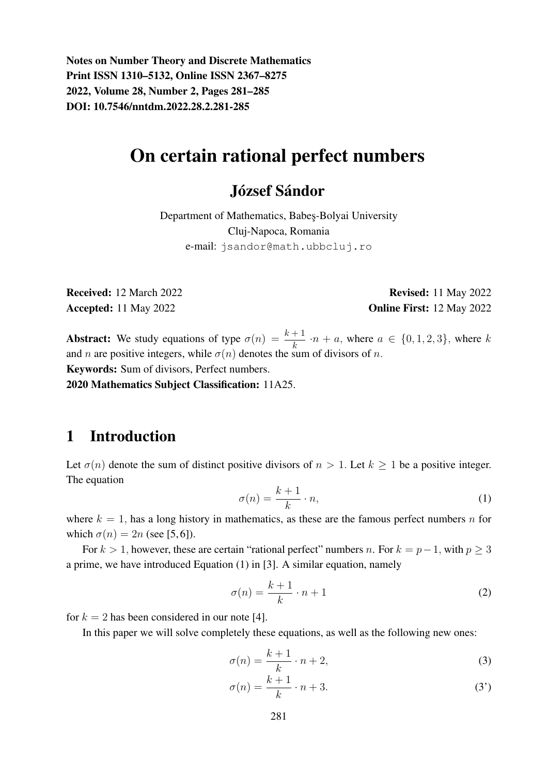Notes on Number Theory and Discrete Mathematics Print ISSN 1310–5132, Online ISSN 2367–8275 2022, Volume 28, Number 2, Pages 281–285 DOI: 10.7546/nntdm.2022.28.2.281-285

# On certain rational perfect numbers

## József Sándor

Department of Mathematics, Babes¸-Bolyai University Cluj-Napoca, Romania e-mail: jsandor@math.ubbcluj.ro

Received: 12 March 2022 Revised: 11 May 2022 Accepted: 11 May 2022 **Online First: 12 May 2022** 

**Abstract:** We study equations of type  $\sigma(n) = \frac{k+1}{k} \cdot n + a$ , where  $a \in \{0, 1, 2, 3\}$ , where k and n are positive integers, while  $\sigma(n)$  denotes the sum of divisors of n. Keywords: Sum of divisors, Perfect numbers.

2020 Mathematics Subject Classification: 11A25.

#### 1 Introduction

Let  $\sigma(n)$  denote the sum of distinct positive divisors of  $n > 1$ . Let  $k \ge 1$  be a positive integer. The equation

$$
\sigma(n) = \frac{k+1}{k} \cdot n,\tag{1}
$$

where  $k = 1$ , has a long history in mathematics, as these are the famous perfect numbers n for which  $\sigma(n) = 2n$  (see [5, 6]).

For  $k > 1$ , however, these are certain "rational perfect" numbers n. For  $k = p-1$ , with  $p > 3$ a prime, we have introduced Equation (1) in [3]. A similar equation, namely

$$
\sigma(n) = \frac{k+1}{k} \cdot n + 1\tag{2}
$$

for  $k = 2$  has been considered in our note [4].

In this paper we will solve completely these equations, as well as the following new ones:

$$
\sigma(n) = \frac{k+1}{k} \cdot n + 2,\tag{3}
$$

$$
\sigma(n) = \frac{k+1}{k} \cdot n + 3. \tag{3'}
$$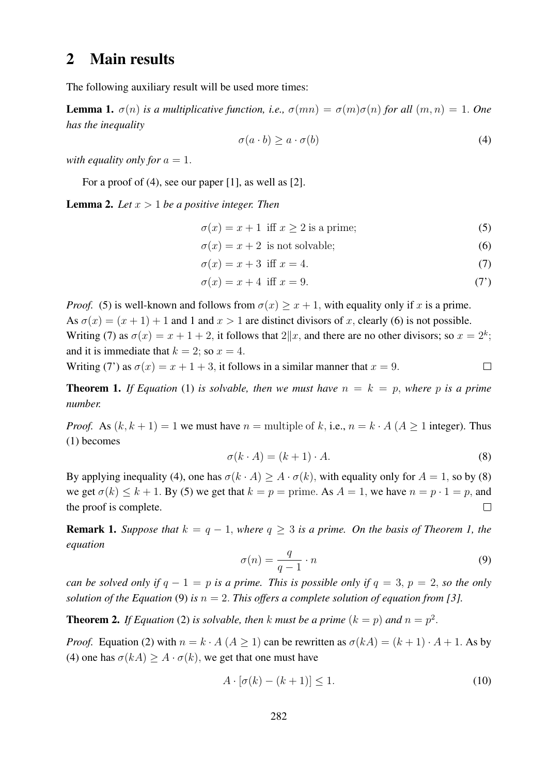## 2 Main results

The following auxiliary result will be used more times:

**Lemma 1.**  $\sigma(n)$  *is a multiplicative function, i.e.,*  $\sigma(mn) = \sigma(m)\sigma(n)$  *for all*  $(m, n) = 1$ *. One has the inequality*

$$
\sigma(a \cdot b) \ge a \cdot \sigma(b) \tag{4}
$$

*with equality only for*  $a = 1$ .

For a proof of (4), see our paper [1], as well as [2].

Lemma 2. *Let* x > 1 *be a positive integer. Then*

 $\sigma(x) = x + 1$  iff  $x \ge 2$  is a prime; (5)

$$
\sigma(x) = x + 2
$$
 is not solvable; (6)

$$
\sigma(x) = x + 3 \text{ iff } x = 4. \tag{7}
$$

$$
\sigma(x) = x + 4 \text{ iff } x = 9. \tag{7'}
$$

*Proof.* (5) is well-known and follows from  $\sigma(x) \geq x + 1$ , with equality only if x is a prime. As  $\sigma(x) = (x + 1) + 1$  and 1 and  $x > 1$  are distinct divisors of x, clearly (6) is not possible. Writing (7) as  $\sigma(x) = x + 1 + 2$ , it follows that  $2||x$ , and there are no other divisors; so  $x = 2^k$ ; and it is immediate that  $k = 2$ ; so  $x = 4$ .

Writing (7') as  $\sigma(x) = x + 1 + 3$ , it follows in a similar manner that  $x = 9$ .  $\Box$ 

**Theorem 1.** If Equation (1) is solvable, then we must have  $n = k = p$ , where p is a prime *number.*

*Proof.* As  $(k, k + 1) = 1$  we must have  $n =$  multiple of k, i.e.,  $n = k \cdot A$  ( $A \ge 1$  integer). Thus (1) becomes

$$
\sigma(k \cdot A) = (k+1) \cdot A. \tag{8}
$$

By applying inequality (4), one has  $\sigma(k \cdot A) \geq A \cdot \sigma(k)$ , with equality only for  $A = 1$ , so by (8) we get  $\sigma(k) \leq k + 1$ . By (5) we get that  $k = p =$  prime. As  $A = 1$ , we have  $n = p \cdot 1 = p$ , and the proof is complete.  $\Box$ 

**Remark 1.** *Suppose that*  $k = q - 1$ , *where*  $q > 3$  *is a prime. On the basis of Theorem 1, the equation*

$$
\sigma(n) = \frac{q}{q-1} \cdot n \tag{9}
$$

*can be solved only if*  $q - 1 = p$  *is a prime. This is possible only if*  $q = 3$ ,  $p = 2$ , *so the only solution of the Equation* (9) *is*  $n = 2$ . *This offers a complete solution of equation from* [3].

**Theorem 2.** If Equation (2) is solvable, then k must be a prime  $(k = p)$  and  $n = p^2$ .

*Proof.* Equation (2) with  $n = k \cdot A$  ( $A > 1$ ) can be rewritten as  $\sigma(kA) = (k+1) \cdot A + 1$ . As by (4) one has  $\sigma(kA) \geq A \cdot \sigma(k)$ , we get that one must have

$$
A \cdot [\sigma(k) - (k+1)] \le 1. \tag{10}
$$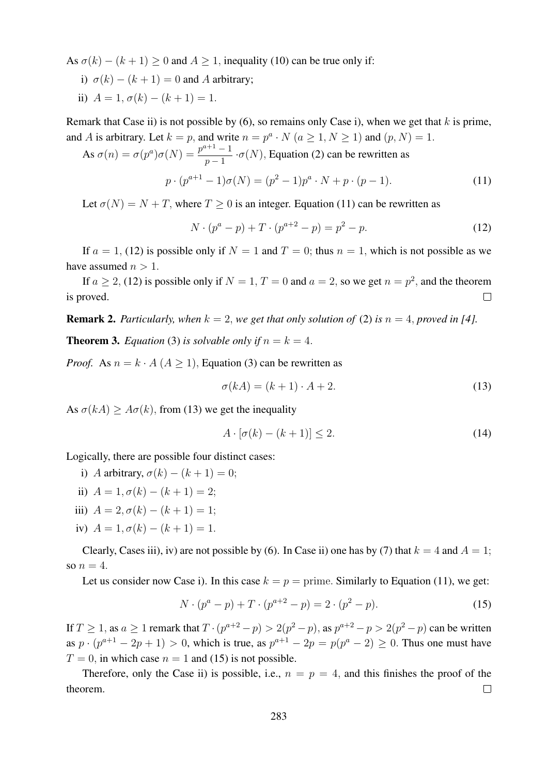As  $\sigma(k) - (k+1) \ge 0$  and  $A \ge 1$ , inequality (10) can be true only if:

- i)  $\sigma(k) (k+1) = 0$  and A arbitrary;
- ii)  $A = 1, \sigma(k) (k+1) = 1.$

Remark that Case ii) is not possible by  $(6)$ , so remains only Case i), when we get that k is prime, and A is arbitrary. Let  $k = p$ , and write  $n = p^a \cdot N$   $(a \ge 1, N \ge 1)$  and  $(p, N) = 1$ .

As 
$$
\sigma(n) = \sigma(p^a)\sigma(N) = \frac{p^{a+1}-1}{p-1} \cdot \sigma(N)
$$
, Equation (2) can be rewritten as  
\n
$$
p \cdot (p^{a+1}-1)\sigma(N) = (p^2-1)p^a \cdot N + p \cdot (p-1).
$$
\n(11)

Let  $\sigma(N) = N + T$ , where  $T > 0$  is an integer. Equation (11) can be rewritten as

$$
N \cdot (p^a - p) + T \cdot (p^{a+2} - p) = p^2 - p.
$$
 (12)

If  $a = 1$ , (12) is possible only if  $N = 1$  and  $T = 0$ ; thus  $n = 1$ , which is not possible as we have assumed  $n > 1$ .

If  $a \ge 2$ , (12) is possible only if  $N = 1, T = 0$  and  $a = 2$ , so we get  $n = p^2$ , and the theorem is proved.  $\Box$ 

**Remark 2.** Particularly, when  $k = 2$ , we get that only solution of (2) is  $n = 4$ , proved in [4].

**Theorem 3.** *Equation* (3) *is solvable only if*  $n = k = 4$ .

*Proof.* As  $n = k \cdot A$  ( $A > 1$ ), Equation (3) can be rewritten as

$$
\sigma(kA) = (k+1) \cdot A + 2. \tag{13}
$$

As  $\sigma(kA) \geq A\sigma(k)$ , from (13) we get the inequality

$$
A \cdot [\sigma(k) - (k+1)] \le 2. \tag{14}
$$

Logically, there are possible four distinct cases:

- i) A arbitrary,  $\sigma(k) (k+1) = 0$ ;
- ii)  $A = 1, \sigma(k) (k+1) = 2;$
- iii)  $A = 2, \sigma(k) (k+1) = 1;$
- iv)  $A = 1, \sigma(k) (k+1) = 1.$

Clearly, Cases iii), iv) are not possible by (6). In Case ii) one has by (7) that  $k = 4$  and  $A = 1$ ; so  $n=4$ .

Let us consider now Case i). In this case  $k = p =$  prime. Similarly to Equation (11), we get:

$$
N \cdot (p^{a} - p) + T \cdot (p^{a+2} - p) = 2 \cdot (p^{2} - p). \tag{15}
$$

If  $T \ge 1$ , as  $a \ge 1$  remark that  $T \cdot (p^{a+2} - p) > 2(p^2 - p)$ , as  $p^{a+2} - p > 2(p^2 - p)$  can be written as  $p \cdot (p^{a+1} - 2p + 1) > 0$ , which is true, as  $p^{a+1} - 2p = p(p^a - 2) \ge 0$ . Thus one must have  $T = 0$ , in which case  $n = 1$  and (15) is not possible.

Therefore, only the Case ii) is possible, i.e.,  $n = p = 4$ , and this finishes the proof of the theorem.  $\Box$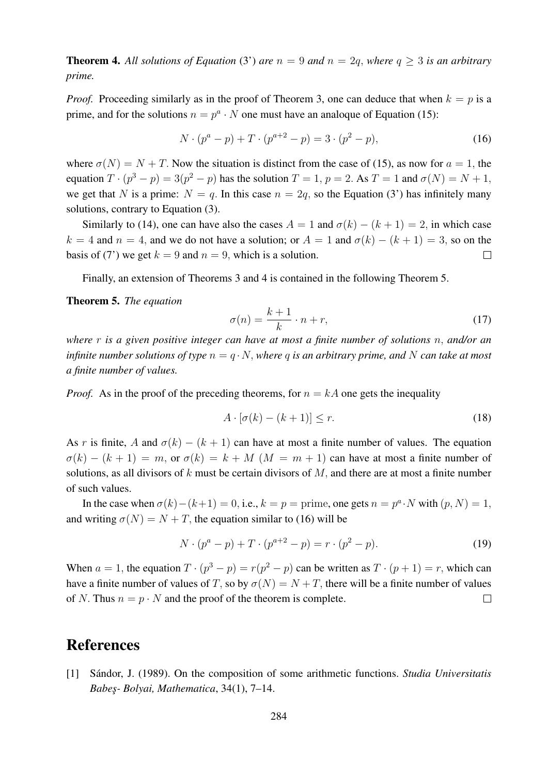**Theorem 4.** All solutions of Equation (3') are  $n = 9$  and  $n = 2q$ , where  $q > 3$  is an arbitrary *prime.*

*Proof.* Proceeding similarly as in the proof of Theorem 3, one can deduce that when  $k = p$  is a prime, and for the solutions  $n = p^a \cdot N$  one must have an analoque of Equation (15):

$$
N \cdot (p^{a} - p) + T \cdot (p^{a+2} - p) = 3 \cdot (p^{2} - p), \tag{16}
$$

where  $\sigma(N) = N + T$ . Now the situation is distinct from the case of (15), as now for  $a = 1$ , the equation  $T \cdot (p^3 - p) = 3(p^2 - p)$  has the solution  $T = 1$ ,  $p = 2$ . As  $T = 1$  and  $\sigma(N) = N + 1$ , we get that N is a prime:  $N = q$ . In this case  $n = 2q$ , so the Equation (3') has infinitely many solutions, contrary to Equation (3).

Similarly to (14), one can have also the cases  $A = 1$  and  $\sigma(k) - (k + 1) = 2$ , in which case  $k = 4$  and  $n = 4$ , and we do not have a solution; or  $A = 1$  and  $\sigma(k) - (k + 1) = 3$ , so on the basis of (7') we get  $k = 9$  and  $n = 9$ , which is a solution.  $\Box$ 

Finally, an extension of Theorems 3 and 4 is contained in the following Theorem 5.

Theorem 5. *The equation*

$$
\sigma(n) = \frac{k+1}{k} \cdot n + r,\tag{17}
$$

*where* r *is a given positive integer can have at most a finite number of solutions* n, *and/or an infinite number solutions of type*  $n = q \cdot N$ *, where q is an arbitrary prime, and* N *can take at most a finite number of values.*

*Proof.* As in the proof of the preceding theorems, for  $n = kA$  one gets the inequality

$$
A \cdot [\sigma(k) - (k+1)] \le r. \tag{18}
$$

As r is finite, A and  $\sigma(k) - (k+1)$  can have at most a finite number of values. The equation  $\sigma(k) - (k+1) = m$ , or  $\sigma(k) = k + M$   $(M = m + 1)$  can have at most a finite number of solutions, as all divisors of  $k$  must be certain divisors of  $M$ , and there are at most a finite number of such values.

In the case when  $\sigma(k) - (k+1) = 0$ , i.e.,  $k = p =$  prime, one gets  $n = p^a \cdot N$  with  $(p, N) = 1$ , and writing  $\sigma(N) = N + T$ , the equation similar to (16) will be

$$
N \cdot (p^{a} - p) + T \cdot (p^{a+2} - p) = r \cdot (p^{2} - p). \tag{19}
$$

When  $a = 1$ , the equation  $T \cdot (p^3 - p) = r(p^2 - p)$  can be written as  $T \cdot (p + 1) = r$ , which can have a finite number of values of T, so by  $\sigma(N) = N + T$ , there will be a finite number of values of N. Thus  $n = p \cdot N$  and the proof of the theorem is complete.  $\Box$ 

## **References**

[1] Sándor, J. (1989). On the composition of some arithmetic functions. *Studia Universitatis Babes¸- Bolyai, Mathematica*, 34(1), 7–14.